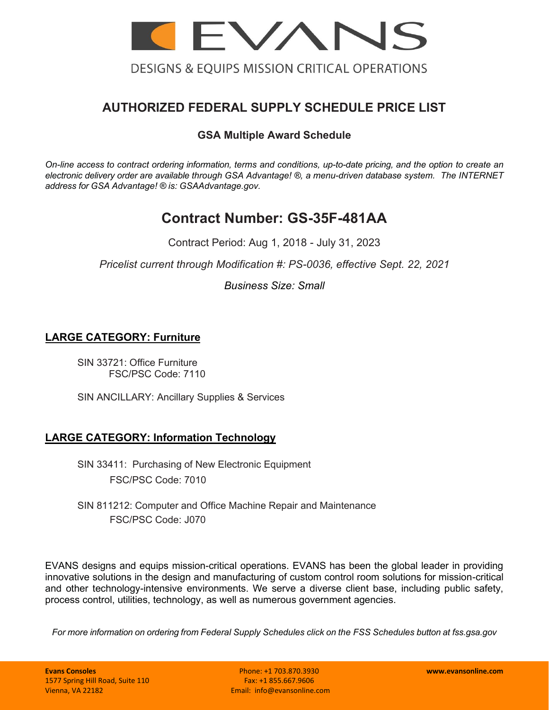

## **AUTHORIZED FEDERAL SUPPLY SCHEDULE PRICE LIST**

## **GSA Multiple Award Schedule**

*On-line access to contract ordering information, terms and conditions, up-to-date pricing, and the option to create an electronic delivery order are available through GSA Advantage! ®, a menu-driven database system. The INTERNET address for GSA Advantage! ® is: GSAAdvantage.gov.*

# **Contract Number: GS-35F-481AA**

Contract Period: Aug 1, 2018 - July 31, 2023

*Pricelist current through Modification #: PS-0036, effective Sept. 22, 2021*

*Business Size: Small*

## **LARGE CATEGORY: Furniture**

SIN 33721: Office Furniture FSC/PSC Code: 7110

SIN ANCILLARY: Ancillary Supplies & Services

## **LARGE CATEGORY: Information Technology**

SIN 33411: Purchasing of New Electronic Equipment FSC/PSC Code: 7010

SIN 811212: Computer and Office Machine Repair and Maintenance FSC/PSC Code: J070

EVANS designs and equips mission-critical operations. EVANS has been the global leader in providing innovative solutions in the design and manufacturing of custom control room solutions for mission-critical and other technology-intensive environments. We serve a diverse client base, including public safety, process control, utilities, technology, as well as numerous government agencies.

*For more information on ordering from Federal Supply Schedules click on the FSS Schedules button at fss.gsa.gov*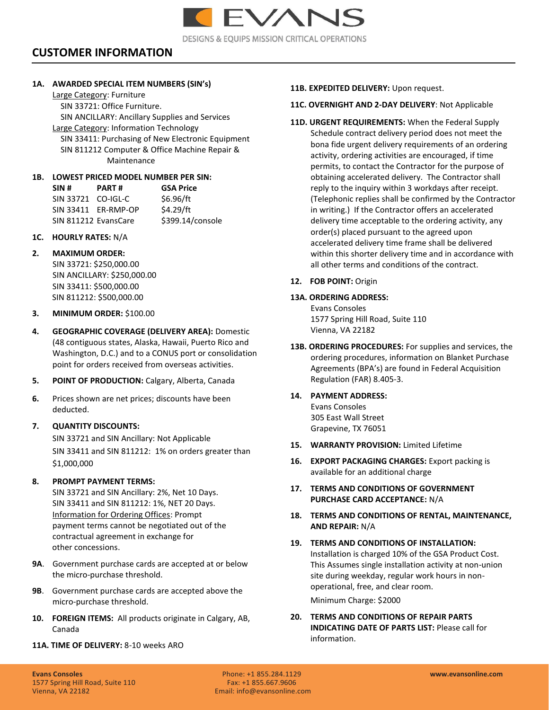

## **CUSTOMER INFORMATION**

#### **1A. AWARDED SPECIAL ITEM NUMBERS (SIN's)**

Large Category: Furniture SIN 33721: Office Furniture. SIN ANCILLARY: Ancillary Supplies and Services Large Category: Information Technology SIN 33411: Purchasing of New Electronic Equipment SIN 811212 Computer & Office Machine Repair & Maintenance

#### **1B. LOWEST PRICED MODEL NUMBER PER SIN:**

| SIN#                 | <b>PART#</b>        | <b>GSA Price</b> |
|----------------------|---------------------|------------------|
| SIN 33721 CO-IGL-C   |                     | \$6.96/ft        |
|                      | SIN 33411 ER-RMP-OP | \$4.29/ft        |
| SIN 811212 EvansCare |                     | \$399.14/console |
|                      |                     |                  |

#### **1C. HOURLY RATES:** N/A

#### **2. MAXIMUM ORDER:**

 SIN 33721: \$250,000.00 SIN ANCILLARY: \$250,000.00 SIN 33411: \$500,000.00 SIN 811212: \$500,000.00

#### **3. MINIMUM ORDER:** \$100.00

- **4. GEOGRAPHIC COVERAGE (DELIVERY AREA):** Domestic (48 contiguous states, Alaska, Hawaii, Puerto Rico and Washington, D.C.) and to a CONUS port or consolidation point for orders received from overseas activities.
- **5. POINT OF PRODUCTION:** Calgary, Alberta, Canada
- **6.** Prices shown are net prices; discounts have been deducted.

#### **7. QUANTITY DISCOUNTS:**

SIN 33721 and SIN Ancillary: Not Applicable SIN 33411 and SIN 811212: 1% on orders greater than \$1,000,000

#### **8. PROMPT PAYMENT TERMS:**

SIN 33721 and SIN Ancillary: 2%, Net 10 Days. SIN 33411 and SIN 811212: 1%, NET 20 Days. Information for Ordering Offices: Prompt payment terms cannot be negotiated out of the contractual agreement in exchange for other concessions.

- **9A**. Government purchase cards are accepted at or below the micro-purchase threshold.
- **9B**. Government purchase cards are accepted above the micro-purchase threshold.
- **10. FOREIGN ITEMS:** All products originate in Calgary, AB, Canada
- **11A. TIME OF DELIVERY:** 8-10 weeks ARO

#### **11B. EXPEDITED DELIVERY:** Upon request.

#### **11C. OVERNIGHT AND 2-DAY DELIVERY**: Not Applicable

- **11D. URGENT REQUIREMENTS:** When the Federal Supply Schedule contract delivery period does not meet the bona fide urgent delivery requirements of an ordering activity, ordering activities are encouraged, if time permits, to contact the Contractor for the purpose of obtaining accelerated delivery. The Contractor shall reply to the inquiry within 3 workdays after receipt. (Telephonic replies shall be confirmed by the Contractor in writing.) If the Contractor offers an accelerated delivery time acceptable to the ordering activity, any order(s) placed pursuant to the agreed upon accelerated delivery time frame shall be delivered within this shorter delivery time and in accordance with all other terms and conditions of the contract.
- **12. FOB POINT:** Origin

#### **13A. ORDERING ADDRESS:**

Evans Consoles 1577 Spring Hill Road, Suite 110 Vienna, VA 22182

- **13B. ORDERING PROCEDURES:** For supplies and services, the ordering procedures, information on Blanket Purchase Agreements (BPA's) are found in Federal Acquisition Regulation (FAR) 8.405-3.
- **14. PAYMENT ADDRESS:** Evans Consoles 305 East Wall Street Grapevine, TX 76051
- **15. WARRANTY PROVISION:** Limited Lifetime
- **16. EXPORT PACKAGING CHARGES:** Export packing is available for an additional charge
- **17. TERMS AND CONDITIONS OF GOVERNMENT PURCHASE CARD ACCEPTANCE:** N/A
- **18. TERMS AND CONDITIONS OF RENTAL, MAINTENANCE, AND REPAIR:** N/A
- **19. TERMS AND CONDITIONS OF INSTALLATION:** Installation is charged 10% of the GSA Product Cost. This Assumes single installation activity at non-union site during weekday, regular work hours in nonoperational, free, and clear room. Minimum Charge: \$2000
- **20. TERMS AND CONDITIONS OF REPAIR PARTS INDICATING DATE OF PARTS LIST:** Please call for information.